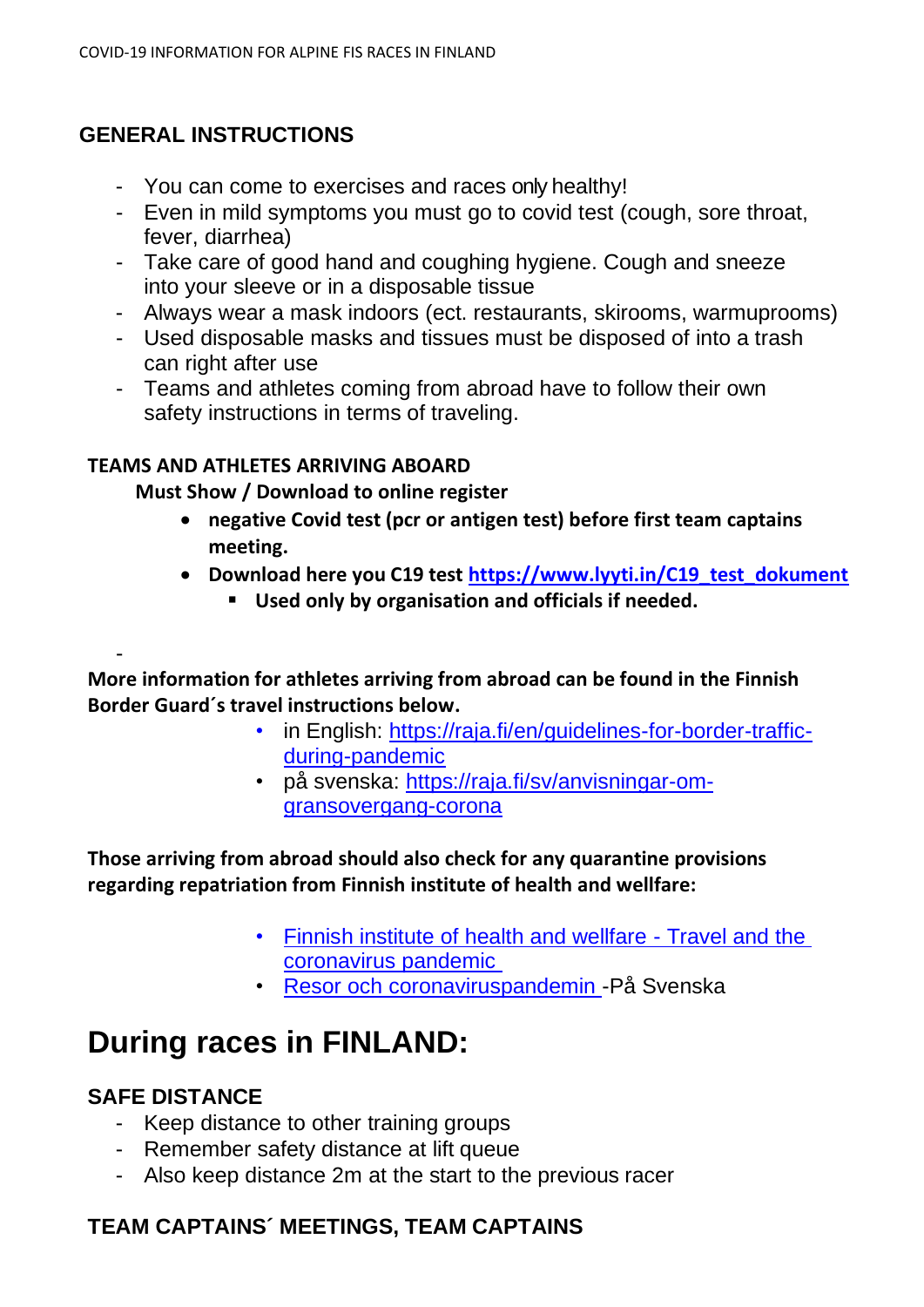# **GENERAL INSTRUCTIONS**

- You can come to exercises and races only healthy!
- Even in mild symptoms you must go to covid test (cough, sore throat, fever, diarrhea)
- Take care of good hand and coughing hygiene. Cough and sneeze into your sleeve or in a disposable tissue
- Always wear a mask indoors (ect. restaurants, skirooms, warmuprooms)
- Used disposable masks and tissues must be disposed of into a trash can right after use
- Teams and athletes coming from abroad have to follow their own safety instructions in terms of traveling.

### **TEAMS AND ATHLETES ARRIVING ABOARD**

#### **Must Show / Download to online register**

- **negative Covid test (pcr or antigen test) before first team captains meeting.**
- **Download here you C19 test [https://www.lyyti.in/C19\\_test\\_dokument](https://www.lyyti.in/C19_test_dokument)**
	- **Used only by organisation and officials if needed.**

**More information for athletes arriving from abroad can be found in the Finnish Border Guard´s travel instructions below.**

- in English: [https://raja.fi/en/guidelines-for-border-traffic](https://www.raja.fi/current_issues/guidelines_for_border_traffic)[during-pandemic](https://www.raja.fi/current_issues/guidelines_for_border_traffic)
- på svenska: [https://raja.fi/sv/anvisningar-om](https://raja.fi/sv/anvisningar-om-gransovergang-corona)[gransovergang-corona](https://raja.fi/sv/anvisningar-om-gransovergang-corona)

**Those arriving from abroad should also check for any quarantine provisions regarding repatriation from Finnish institute of health and wellfare:**

- [Finnish institute of health and wellfare -](https://thl.fi/en/web/infectious-diseases-and-vaccinations/what-s-new/coronavirus-covid-19-latest-updates/travel-and-the-coronavirus-pandemic) [Travel and the](https://thl.fi/en/web/infectious-diseases-and-vaccinations/what-s-new/coronavirus-covid-19-latest-updates/travel-and-the-coronavirus-pandemic)  [coronavirus pandemic](https://thl.fi/en/web/infectious-diseases-and-vaccinations/what-s-new/coronavirus-covid-19-latest-updates/travel-and-the-coronavirus-pandemic)
- [Resor och coronaviruspandemin -](https://thl.fi/sv/web/infektionssjukdomar-och-vaccinationer/aktuellt/aktuellt-om-coronaviruset-covid-19/resor-och-coronaviruspandemin)På Svenska

# **During races in FINLAND:**

### **SAFE DISTANCE**

-

- Keep distance to other training groups
- Remember safety distance at lift queue
- Also keep distance 2m at the start to the previous racer

# **TEAM CAPTAINS´ MEETINGS, TEAM CAPTAINS**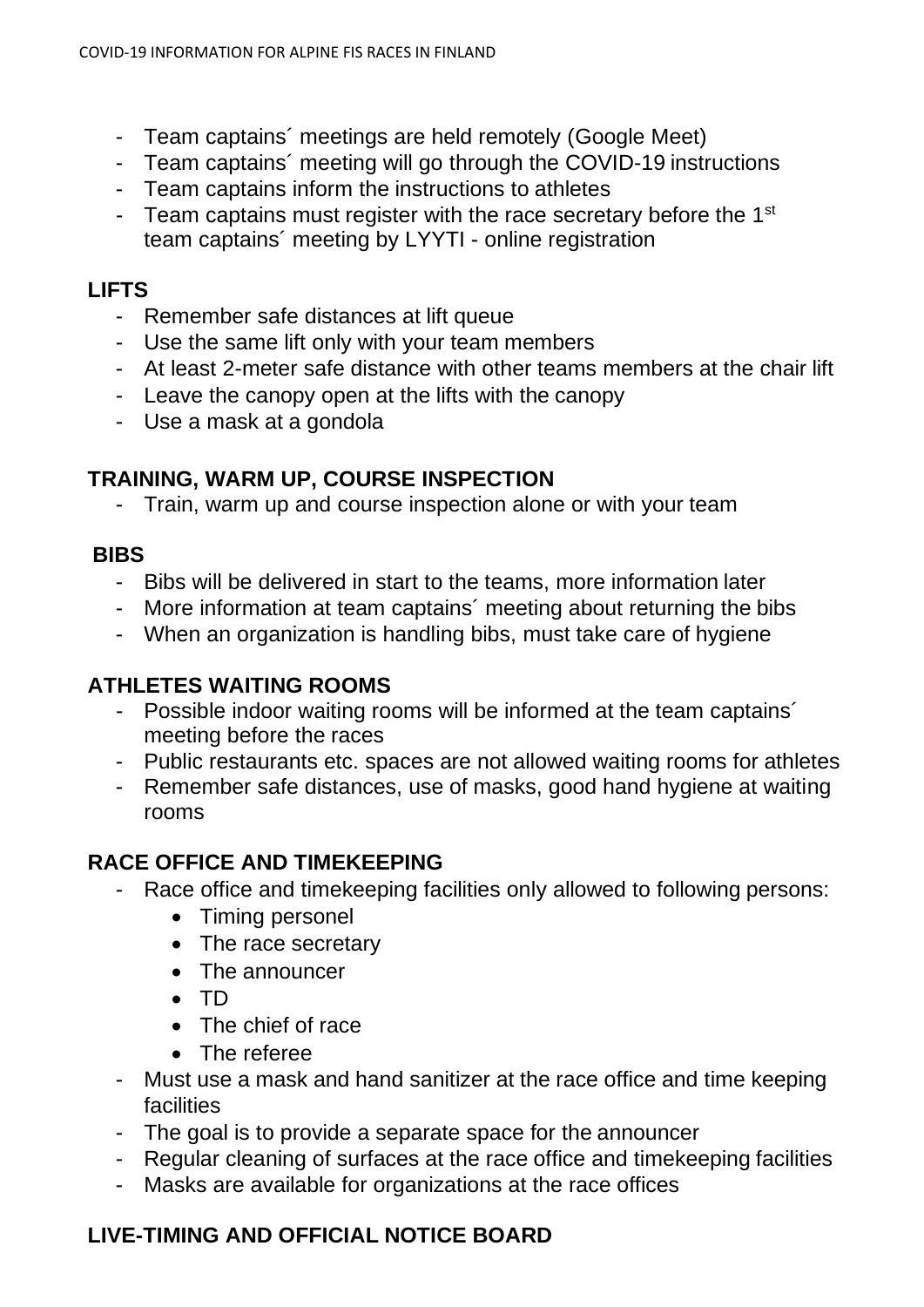- Team captains´ meetings are held remotely (Google Meet)
- Team captains´ meeting will go through the COVID-19 instructions
- Team captains inform the instructions to athletes
- Team captains must register with the race secretary before the 1<sup>st</sup> team captains´ meeting by LYYTI - online registration

# **LIFTS**

- Remember safe distances at lift queue
- Use the same lift only with your team members
- At least 2-meter safe distance with other teams members at the chair lift
- Leave the canopy open at the lifts with the canopy
- Use a mask at a gondola

# **TRAINING, WARM UP, COURSE INSPECTION**

- Train, warm up and course inspection alone or with your team

### **BIBS**

- Bibs will be delivered in start to the teams, more information later
- More information at team captains' meeting about returning the bibs
- When an organization is handling bibs, must take care of hygiene

# **ATHLETES WAITING ROOMS**

- Possible indoor waiting rooms will be informed at the team captains´ meeting before the races
- Public restaurants etc. spaces are not allowed waiting rooms for athletes
- Remember safe distances, use of masks, good hand hygiene at waiting rooms

# **RACE OFFICE AND TIMEKEEPING**

- Race office and timekeeping facilities only allowed to following persons:
	- Timing personel
	- The race secretary
	- The announcer
	- TD
	- The chief of race
	- The referee
- Must use a mask and hand sanitizer at the race office and time keeping facilities
- The goal is to provide a separate space for the announcer
- Regular cleaning of surfaces at the race office and timekeeping facilities
- Masks are available for organizations at the race offices

# **LIVE-TIMING AND OFFICIAL NOTICE BOARD**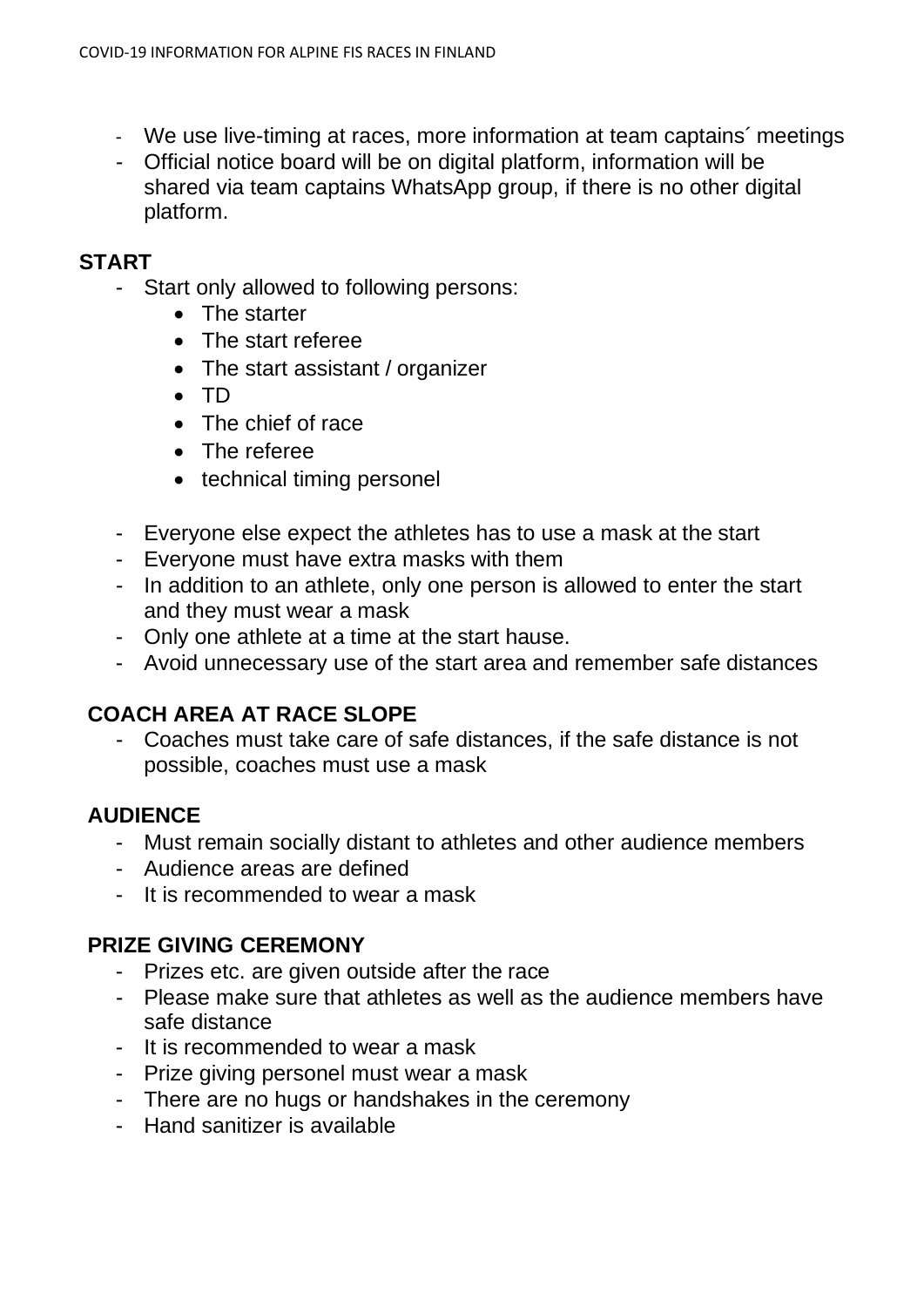- We use live-timing at races, more information at team captains´ meetings
- Official notice board will be on digital platform, information will be shared via team captains WhatsApp group, if there is no other digital platform.

#### **START**

- Start only allowed to following persons:
	- The starter
	- The start referee
	- The start assistant / organizer
	- TD
	- The chief of race
	- The referee
	- technical timing personel
- Everyone else expect the athletes has to use a mask at the start
- Everyone must have extra masks with them
- In addition to an athlete, only one person is allowed to enter the start and they must wear a mask
- Only one athlete at a time at the start hause.
- Avoid unnecessary use of the start area and remember safe distances

### **COACH AREA AT RACE SLOPE**

- Coaches must take care of safe distances, if the safe distance is not possible, coaches must use a mask

### **AUDIENCE**

- Must remain socially distant to athletes and other audience members
- Audience areas are defined
- It is recommended to wear a mask

### **PRIZE GIVING CEREMONY**

- Prizes etc. are given outside after the race
- Please make sure that athletes as well as the audience members have safe distance
- It is recommended to wear a mask
- Prize giving personel must wear a mask
- There are no hugs or handshakes in the ceremony
- Hand sanitizer is available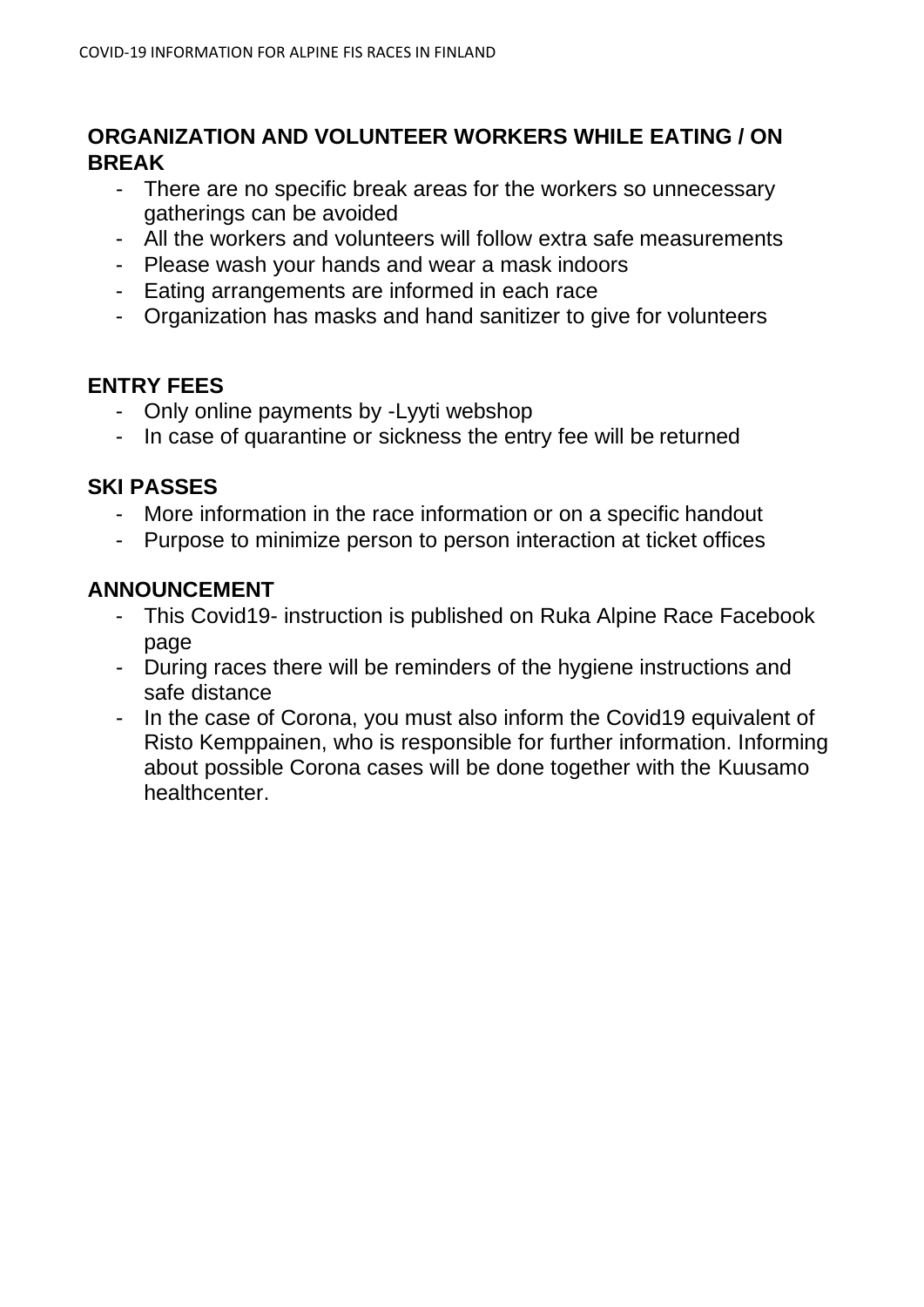# **ORGANIZATION AND VOLUNTEER WORKERS WHILE EATING / ON BREAK**

- There are no specific break areas for the workers so unnecessary gatherings can be avoided
- All the workers and volunteers will follow extra safe measurements
- Please wash your hands and wear a mask indoors
- Eating arrangements are informed in each race
- Organization has masks and hand sanitizer to give for volunteers

# **ENTRY FEES**

- Only online payments by -Lyyti webshop
- In case of quarantine or sickness the entry fee will be returned

# **SKI PASSES**

- More information in the race information or on a specific handout
- Purpose to minimize person to person interaction at ticket offices

# **ANNOUNCEMENT**

- This Covid19- instruction is published on Ruka Alpine Race Facebook page
- During races there will be reminders of the hygiene instructions and safe distance
- In the case of Corona, you must also inform the Covid19 equivalent of Risto Kemppainen, who is responsible for further information. Informing about possible Corona cases will be done together with the Kuusamo healthcenter.